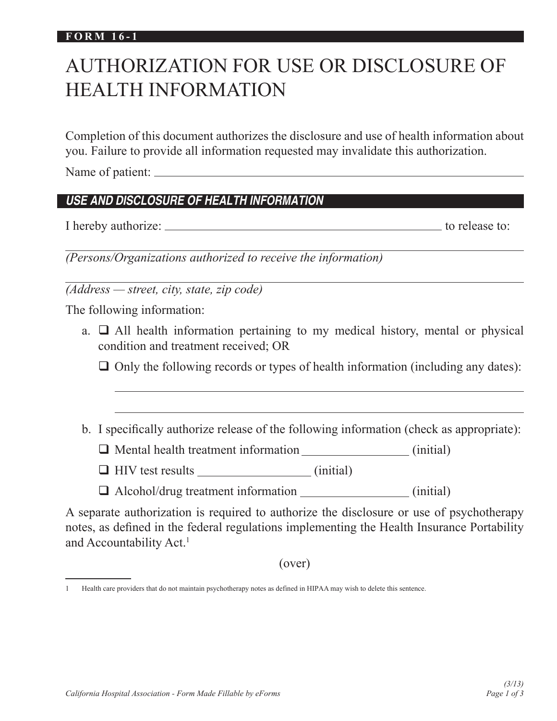#### **FORM 16-1**

# AUTHORIZATION FOR USE OR DISCLOSURE OF HEALTH INFORMATION

Completion of this document authorizes the disclosure and use of health information about you. Failure to provide all information requested may invalidate this authorization.

Name of patient:

# *USE AND DISCLOSURE OF HEALTH INFORMATION*

I hereby authorize:  $\frac{1}{1}$  to release to:

*(Persons/Organizations authorized to receive the information)*

*(Address — street, city, state, zip code)*

The following information:

a.  $\Box$  All health information pertaining to my medical history, mental or physical condition and treatment received; OR

 $\Box$  Only the following records or types of health information (including any dates):

b. I specifically authorize release of the following information (check as appropriate):

**Q** Mental health treatment information (initial)

 $\Box$  HIV test results  $\Box$  (initial)

 $\Box$  Alcohol/drug treatment information (initial)

A separate authorization is required to authorize the disclosure or use of psychotherapy notes, as defined in the federal regulations implementing the Health Insurance Portability and Accountability Act.<sup>1</sup>

(over)

<sup>1</sup> Health care providers that do not maintain psychotherapy notes as defined in HIPAA may wish to delete this sentence.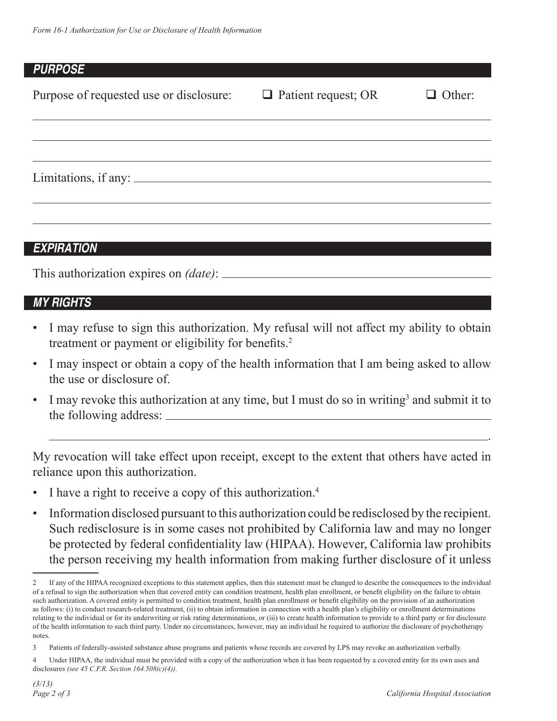## *PURPOSE*

| Purpose of requested use or disclosure: $\Box$ Patient request; OR | $\Box$ Other: |
|--------------------------------------------------------------------|---------------|
|                                                                    |               |
| Limitations, if any:                                               |               |
|                                                                    |               |

# *EXPIRATION*

This authorization expires on *(date)*:

# *MY RIGHTS*

- I may refuse to sign this authorization. My refusal will not affect my ability to obtain treatment or payment or eligibility for benefits.<sup>2</sup>
- I may inspect or obtain a copy of the health information that I am being asked to allow the use or disclosure of.
- I may revoke this authorization at any time, but I must do so in writing<sup>3</sup> and submit it to the following address:

My revocation will take effect upon receipt, except to the extent that others have acted in reliance upon this authorization.

<u>. Andre Sterne Sterne Sterne Sterne Sterne Sterne Sterne Sterne Sterne Sterne Sterne Sterne Sterne Sterne Ste</u>

- I have a right to receive a copy of this authorization.<sup>4</sup>
- Information disclosed pursuant to this authorization could be redisclosed by the recipient. Such redisclosure is in some cases not prohibited by California law and may no longer be protected by federal confidentiality law (HIPAA). However, California law prohibits the person receiving my health information from making further disclosure of it unless

<sup>2</sup> If any of the HIPAA recognized exceptions to this statement applies, then this statement must be changed to describe the consequences to the individual of a refusal to sign the authorization when that covered entity can condition treatment, health plan enrollment, or benefit eligibility on the failure to obtain such authorization. A covered entity is permitted to condition treatment, health plan enrollment or benefit eligibility on the provision of an authorization as follows: (i) to conduct research-related treatment, (ii) to obtain information in connection with a health plan's eligibility or enrollment determinations relating to the individual or for its underwriting or risk rating determinations, or (iii) to create health information to provide to a third party or for disclosure of the health information to such third party. Under no circumstances, however, may an individual be required to authorize the disclosure of psychotherapy notes.

<sup>3</sup> Patients of federally-assisted substance abuse programs and patients whose records are covered by LPS may revoke an authorization verbally.

<sup>4</sup> Under HIPAA, the individual must be provided with a copy of the authorization when it has been requested by a covered entity for its own uses and disclosures *(see 45 C.F.R. Section 164.508(c)(4))*.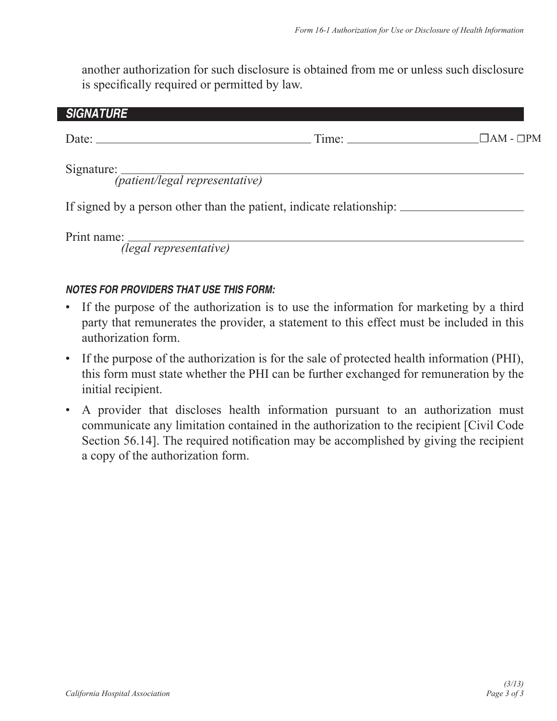another authorization for such disclosure is obtained from me or unless such disclosure is specifically required or permitted by law.

| <b>SIGNATURE</b>                    |                                                                      |                       |
|-------------------------------------|----------------------------------------------------------------------|-----------------------|
|                                     |                                                                      | $\Box$ AM - $\Box$ PM |
|                                     | Signature: (patient/legal representative)                            |                       |
|                                     | If signed by a person other than the patient, indicate relationship: |                       |
| the contract of the contract of the |                                                                      |                       |

 *(legal representative)*

## *NOTES FOR PROVIDERS THAT USE THIS FORM:*

- If the purpose of the authorization is to use the information for marketing by a third party that remunerates the provider, a statement to this effect must be included in this authorization form.
- If the purpose of the authorization is for the sale of protected health information (PHI), this form must state whether the PHI can be further exchanged for remuneration by the initial recipient.
- A provider that discloses health information pursuant to an authorization must communicate any limitation contained in the authorization to the recipient [Civil Code Section 56.14]. The required notification may be accomplished by giving the recipient a copy of the authorization form.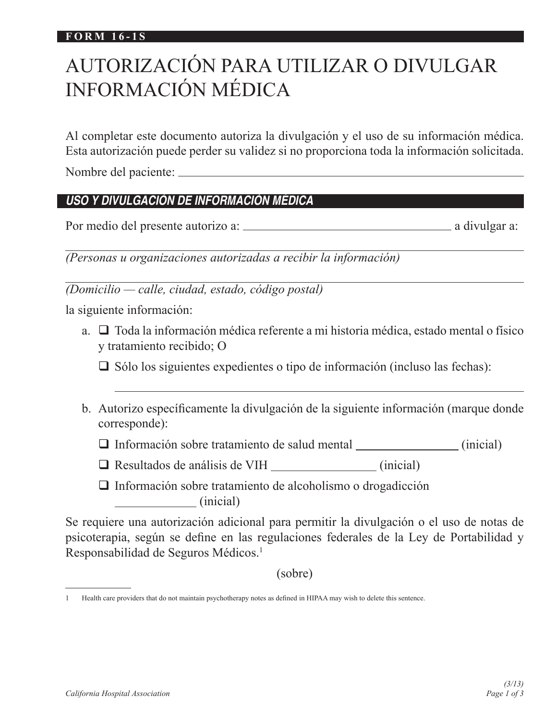#### **FORM 16-1S**

# AUTORIZACIÓN PARA UTILIZAR O DIVULGAR INFORMACIÓN MÉDICA

Al completar este documento autoriza la divulgación y el uso de su información médica. Esta autorización puede perder su validez si no proporciona toda la información solicitada.

Nombre del paciente:

# *USO Y DIVULGACIÓN DE INFORMACIÓN MÉDICA*

Por medio del presente autorizo a: a divulgar a:

 $\overline{a}$ *(Personas u organizaciones autorizadas a recibir la información)*

*(Domicilio — calle, ciudad, estado, código postal)*

la siguiente información:

a.  $\Box$  Toda la información médica referente a mi historia médica, estado mental o físico y tratamiento recibido; O

 $\Box$  Sólo los siguientes expedientes o tipo de información (incluso las fechas):

b. Autorizo específicamente la divulgación de la siguiente información (marque donde corresponde):

 $\Box$  Información sobre tratamiento de salud mental  $\Box$  (inicial)

 $\Box$  Resultados de análisis de VIH (inicial)

 $\Box$  Información sobre tratamiento de alcoholismo o drogadicción (inicial)

Se requiere una autorización adicional para permitir la divulgación o el uso de notas de psicoterapia, según se define en las regulaciones federales de la Ley de Portabilidad y Responsabilidad de Seguros Médicos.1

(sobre)

<sup>1</sup> Health care providers that do not maintain psychotherapy notes as defined in HIPAA may wish to delete this sentence.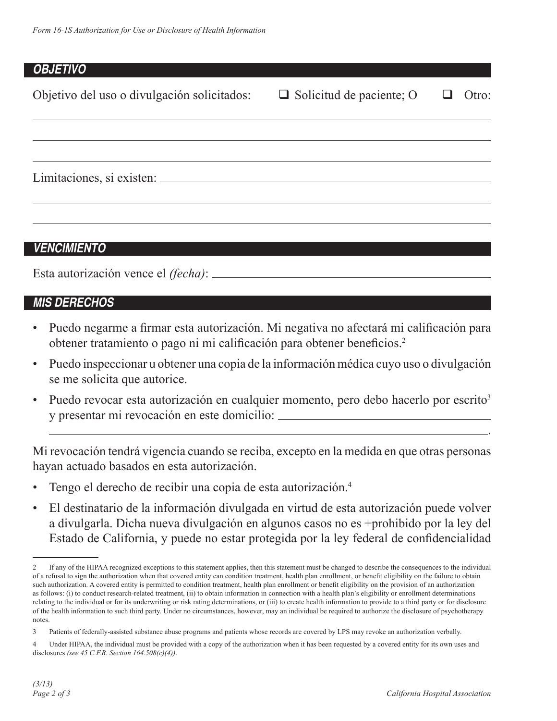### *OBJETIVO*

| Objetivo del uso o divulgación solicitados: $\Box$ Solicitud de paciente; O | Otro:<br>⊔ |
|-----------------------------------------------------------------------------|------------|
|                                                                             |            |
|                                                                             |            |
|                                                                             |            |

## *VENCIMIENTO*

Esta autorización vence el *(fecha)*:

## *MIS DERECHOS*

- Puedo negarme a firmar esta autorización. Mi negativa no afectará mi calificación para obtener tratamiento o pago ni mi calificación para obtener beneficios.<sup>2</sup>
- Puedo inspeccionar u obtener una copia de la información médica cuyo uso o divulgación se me solicita que autorice.
- Puedo revocar esta autorización en cualquier momento, pero debo hacerlo por escrito<sup>3</sup> y presentar mi revocación en este domicilio:

<u>. Andre Sterne Sterne Sterne Sterne Sterne Sterne Sterne Sterne Sterne Sterne Sterne Sterne Sterne Sterne Ste</u>

Mi revocación tendrá vigencia cuando se reciba, excepto en la medida en que otras personas hayan actuado basados en esta autorización.

- Tengo el derecho de recibir una copia de esta autorización.4
- El destinatario de la información divulgada en virtud de esta autorización puede volver a divulgarla. Dicha nueva divulgación en algunos casos no es +prohibido por la ley del Estado de California, y puede no estar protegida por la ley federal de confidencialidad

<sup>2</sup> If any of the HIPAA recognized exceptions to this statement applies, then this statement must be changed to describe the consequences to the individual of a refusal to sign the authorization when that covered entity can condition treatment, health plan enrollment, or benefit eligibility on the failure to obtain such authorization. A covered entity is permitted to condition treatment, health plan enrollment or benefit eligibility on the provision of an authorization as follows: (i) to conduct research-related treatment, (ii) to obtain information in connection with a health plan's eligibility or enrollment determinations relating to the individual or for its underwriting or risk rating determinations, or (iii) to create health information to provide to a third party or for disclosure of the health information to such third party. Under no circumstances, however, may an individual be required to authorize the disclosure of psychotherapy notes.

<sup>3</sup> Patients of federally-assisted substance abuse programs and patients whose records are covered by LPS may revoke an authorization verbally.

<sup>4</sup> Under HIPAA, the individual must be provided with a copy of the authorization when it has been requested by a covered entity for its own uses and disclosures *(see 45 C.F.R. Section 164.508(c)(4))*.